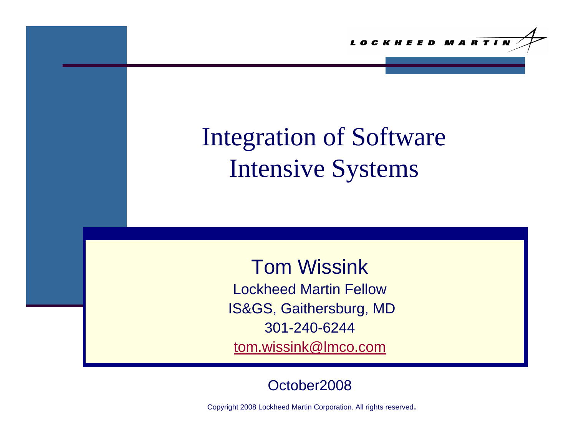# Integration of Software Intensive Systems

Tom WissinkLockheed Martin FellowIS&GS, Gaithersburg, MD 301-240-6244 [tom.wissink@lmco.com](mailto:tom.wissink@lmco.com)

#### October2008

Copyright 2008 Lockheed Martin Corporation. All rights reserved.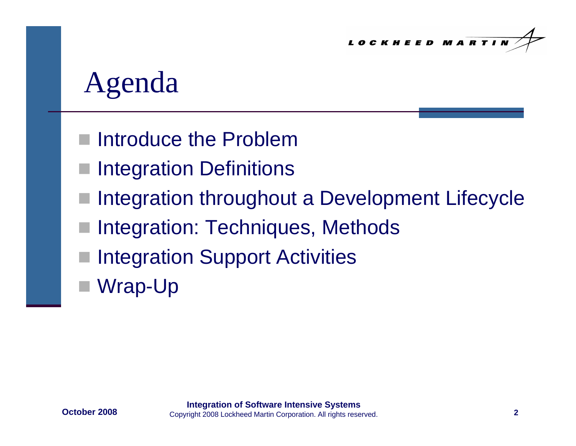# Agenda

- Introduce the Problem
- Integration Definitions
- Integration throughout a Development Lifecycle
- Integration: Techniques, Methods
- Integration Support Activities
- Wrap-Up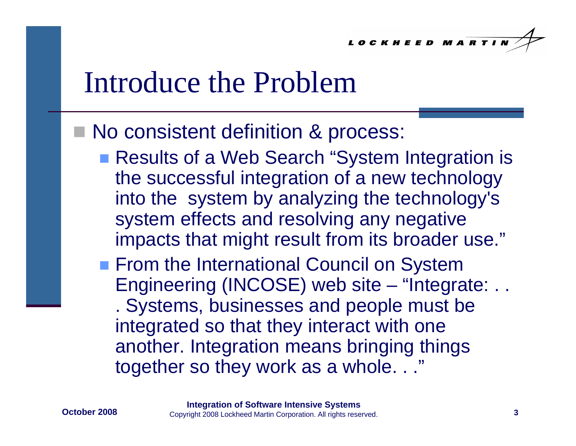## Introduce the Problem

#### ■ No consistent definition & process:

- Results of a Web Search "System Integration is the successful integration of a new technology into the system by analyzing the technology's system effects and resolving any negative impacts that might result from its broader use."
- **Firm the International Council on System** Engineering (INCOSE) web site – "Integrate: . . . Systems, businesses and people must be integrated so that they interact with one another. Integration means bringing things together so they work as a whole. . ."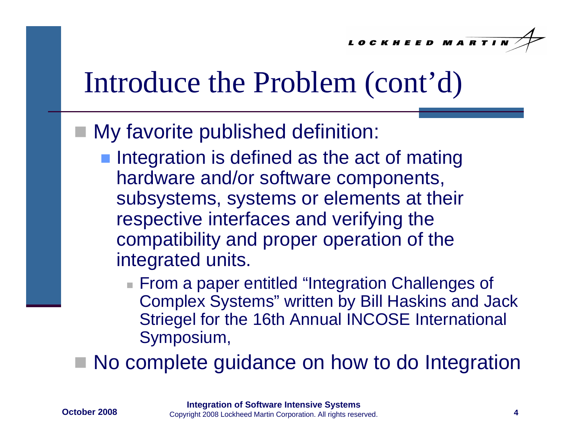## Introduce the Problem (cont'd)

#### My favorite published definition:

- **Integration is defined as the act of mating** hardware and/or software components, subsystems, systems or elements at their respective interfaces and verifying the compatibility and proper operation of the integrated units.
	- From a paper entitled "Integration Challenges of Complex Systems" written by Bill Haskins and Jack Striegel for the 16th Annual INCOSE International Symposium,
- No complete guidance on how to do Integration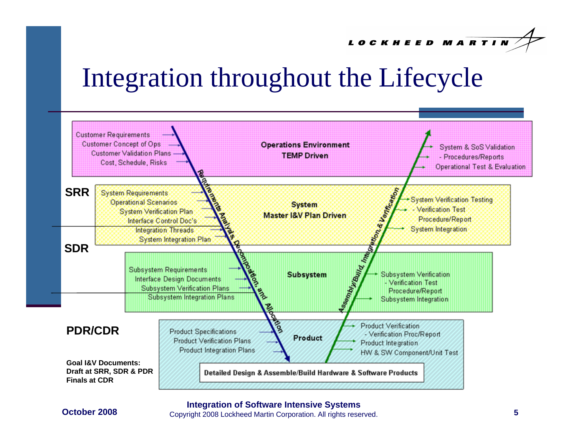## Integration throughout the Lifecycle



#### **October 2008**

**Integration of Software Intensive Systems<br>8** Copyright 2008 Lockheed Martin Corporation. All rights reserved. **5**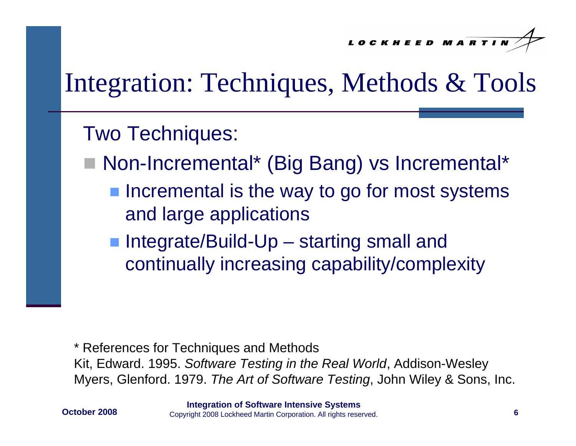### Integration: Techniques, Methods & Tools

#### Two Techniques:

- Non-Incremental\* (Big Bang) vs Incremental\*
	- **Incremental is the way to go for most systems** and large applications
	- Integrate/Build-Up starting small and continually increasing capability/complexity

\* References for Techniques and Methods Kit, Edward. 1995. *Software Testing in the Real World*, Addison-Wesley Myers, Glenford. 1979. *The Art of Software Testing*, John Wiley & Sons, Inc.

**October 2008**

**6 Integration of Software Intensive Systems** Copyright 2008 Lockheed Martin Corporation. All rights reserved.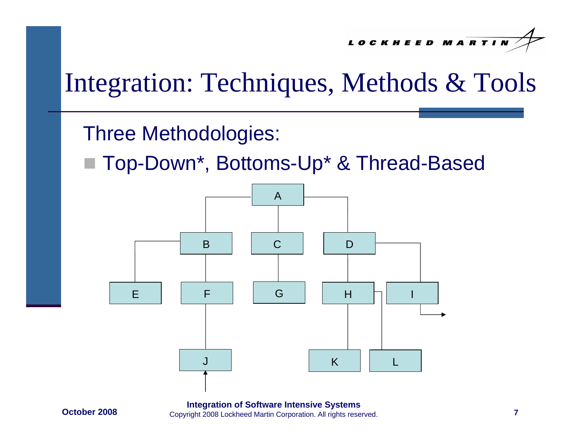#### Integration: Techniques, Methods & Tools

Three Methodologies:

Top-Down\*, Bottoms-Up\* & Thread-Based



**17 Integration of Software Intensive Systems<br>8** Copyright 2008 Lockheed Martin Corporation. All rights reserved. **8**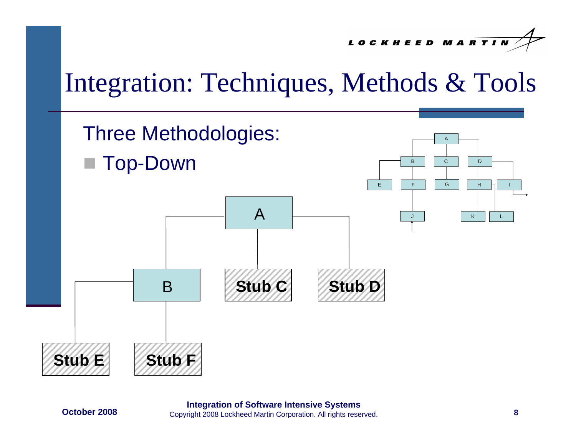LOCKHEED MARTIN

### Integration: Techniques, Methods & Tools



**8 Integration of Software Intensive Systems** Copyright 2008 Lockheed Martin Corporation. All rights reserved.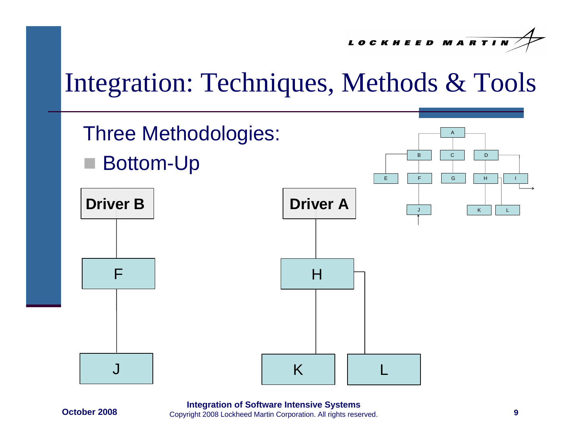LOCKHEED MARTIN

#### Integration: Techniques, Methods & Tools



**October 2008**

**Integration of Software Intensive Systems Properties Access 19 Integration of Software Intensive Systems**<br>8 The Copyright 2008 Lockheed Martin Corporation. All rights reserved.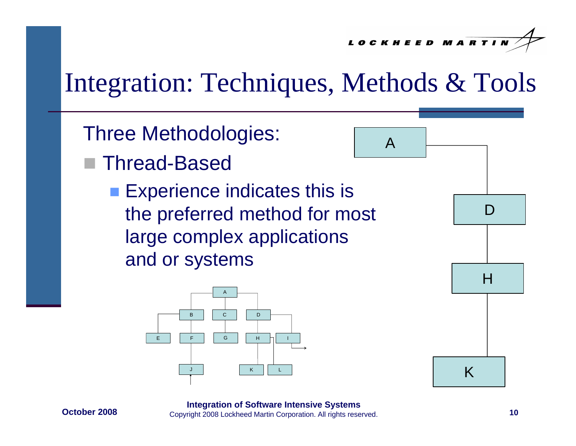A

### Integration: Techniques, Methods & Tools

- Three Methodologies:
- Thread-Based
	- **Experience indicates this is** the preferred method for most large complex applications and or systems





**October 2008**

**10 Integration of Software Intensive Systems Properties Applement 2008 Lockheed Martin Corporation. All rights reserved.**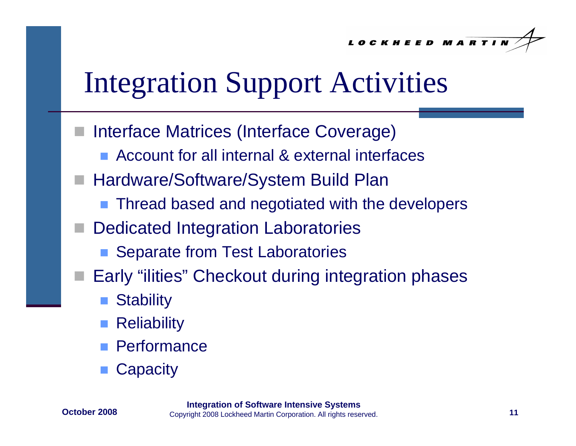# Integration Support Activities

- Interface Matrices (Interface Coverage)
	- Account for all internal & external interfaces
- Hardware/Software/System Build Plan
	- Thread based and negotiated with the developers
- Dedicated Integration Laboratories
	- H Separate from Test Laboratories
- Early "ilities" Checkout during integration phases
	- **Stability**
	- **Reliability**
	- **Performance**
	- **Capacity**

**October 2008**

**1111 Integration of Software Intensive Systems** Copyright 2008 Lockheed Martin Corporation. All rights reserved.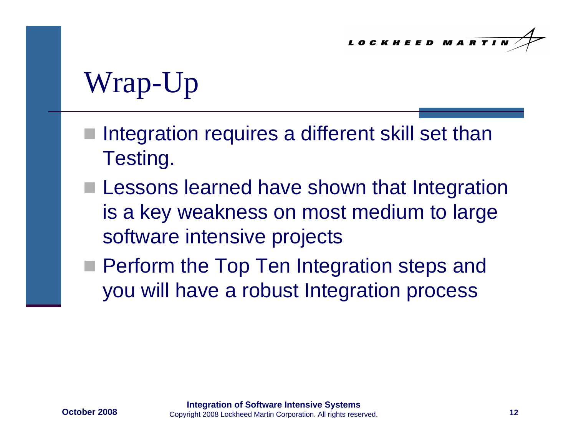# Wrap-Up

- Integration requires a different skill set than Testing.
- **Lessons learned have shown that Integration** is a key weakness on most medium to large software intensive projects
- **Perform the Top Ten Integration steps and** you will have a robust Integration process